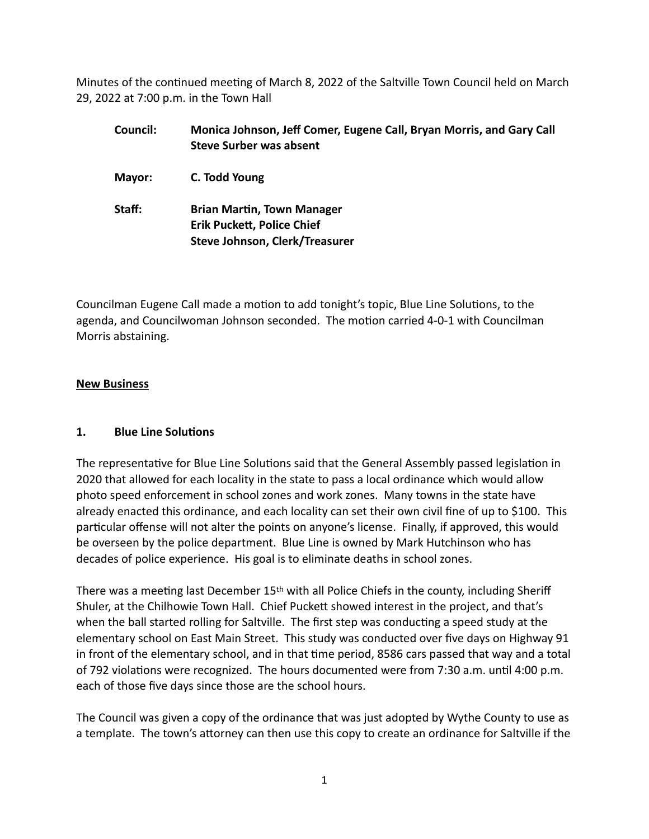Minutes of the continued meeting of March 8, 2022 of the Saltville Town Council held on March 29, 2022 at 7:00 p.m. in the Town Hall

| Council: | Monica Johnson, Jeff Comer, Eugene Call, Bryan Morris, and Gary Call<br><b>Steve Surber was absent</b>   |
|----------|----------------------------------------------------------------------------------------------------------|
| Mayor:   | C. Todd Young                                                                                            |
| Staff:   | <b>Brian Martin, Town Manager</b><br><b>Erik Puckett, Police Chief</b><br>Steve Johnson, Clerk/Treasurer |

Councilman Eugene Call made a motion to add tonight's topic, Blue Line Solutions, to the agenda, and Councilwoman Johnson seconded. The motion carried 4-0-1 with Councilman Morris abstaining.

## **New Business**

## **1. Blue Line Solutions**

The representative for Blue Line Solutions said that the General Assembly passed legislation in 2020 that allowed for each locality in the state to pass a local ordinance which would allow photo speed enforcement in school zones and work zones. Many towns in the state have already enacted this ordinance, and each locality can set their own civil fine of up to \$100. This particular offense will not alter the points on anyone's license. Finally, if approved, this would be overseen by the police department. Blue Line is owned by Mark Hutchinson who has decades of police experience. His goal is to eliminate deaths in school zones.

There was a meeting last December 15th with all Police Chiefs in the county, including Sheriff Shuler, at the Chilhowie Town Hall. Chief Puckett showed interest in the project, and that's when the ball started rolling for Saltville. The first step was conducting a speed study at the elementary school on East Main Street. This study was conducted over five days on Highway 91 in front of the elementary school, and in that time period, 8586 cars passed that way and a total of 792 violations were recognized. The hours documented were from 7:30 a.m. until 4:00 p.m. each of those five days since those are the school hours.

The Council was given a copy of the ordinance that was just adopted by Wythe County to use as a template. The town's attorney can then use this copy to create an ordinance for Saltville if the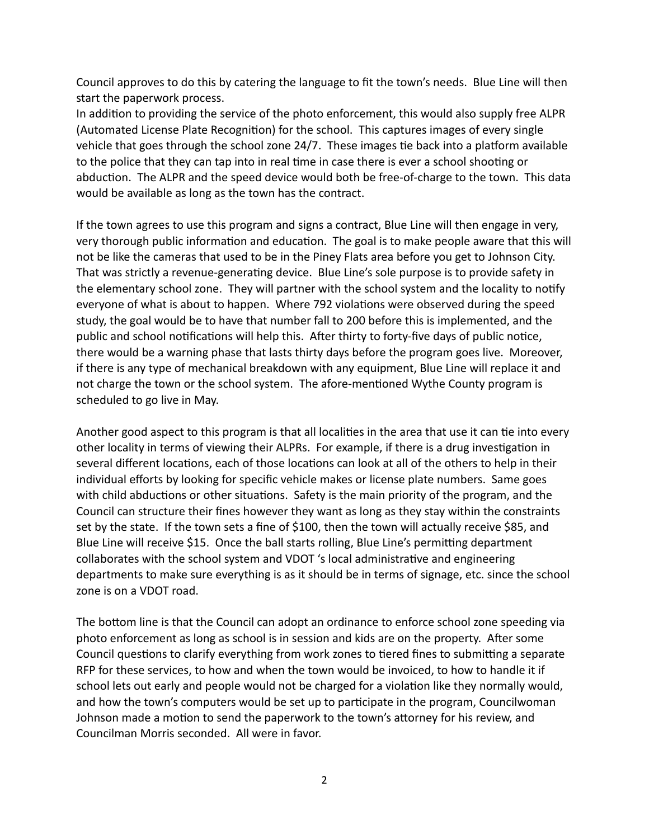Council approves to do this by catering the language to fit the town's needs. Blue Line will then start the paperwork process.

In addition to providing the service of the photo enforcement, this would also supply free ALPR (Automated License Plate Recognition) for the school. This captures images of every single vehicle that goes through the school zone 24/7. These images tie back into a platform available to the police that they can tap into in real time in case there is ever a school shooting or abduction. The ALPR and the speed device would both be free-of-charge to the town. This data would be available as long as the town has the contract.

If the town agrees to use this program and signs a contract, Blue Line will then engage in very, very thorough public information and education. The goal is to make people aware that this will not be like the cameras that used to be in the Piney Flats area before you get to Johnson City. That was strictly a revenue-generating device. Blue Line's sole purpose is to provide safety in the elementary school zone. They will partner with the school system and the locality to notify everyone of what is about to happen. Where 792 violations were observed during the speed study, the goal would be to have that number fall to 200 before this is implemented, and the public and school notifications will help this. After thirty to forty-five days of public notice, there would be a warning phase that lasts thirty days before the program goes live. Moreover, if there is any type of mechanical breakdown with any equipment, Blue Line will replace it and not charge the town or the school system. The afore-mentioned Wythe County program is scheduled to go live in May.

Another good aspect to this program is that all localities in the area that use it can tie into every other locality in terms of viewing their ALPRs. For example, if there is a drug investigation in several different locations, each of those locations can look at all of the others to help in their individual efforts by looking for specific vehicle makes or license plate numbers. Same goes with child abductions or other situations. Safety is the main priority of the program, and the Council can structure their fines however they want as long as they stay within the constraints set by the state. If the town sets a fine of \$100, then the town will actually receive \$85, and Blue Line will receive \$15. Once the ball starts rolling, Blue Line's permitting department collaborates with the school system and VDOT 's local administrative and engineering departments to make sure everything is as it should be in terms of signage, etc. since the school zone is on a VDOT road.

The bottom line is that the Council can adopt an ordinance to enforce school zone speeding via photo enforcement as long as school is in session and kids are on the property. After some Council questions to clarify everything from work zones to tiered fines to submitting a separate RFP for these services, to how and when the town would be invoiced, to how to handle it if school lets out early and people would not be charged for a violation like they normally would, and how the town's computers would be set up to participate in the program, Councilwoman Johnson made a motion to send the paperwork to the town's attorney for his review, and Councilman Morris seconded. All were in favor.